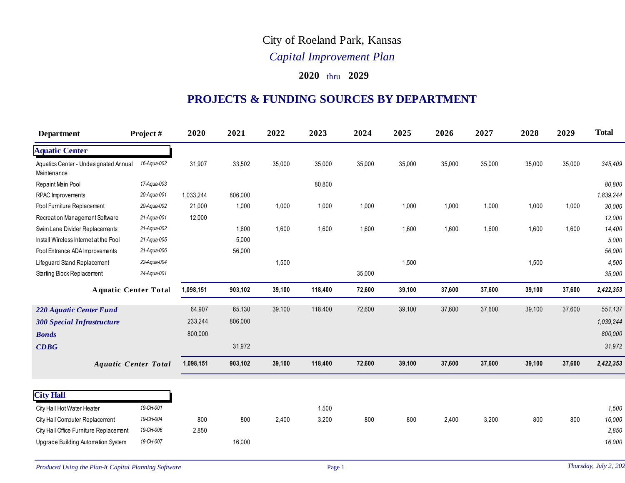## City of Roeland Park, Kansas

## *Capital Improvement Plan*

## **2020** thru **2029**

## **PROJECTS & FUNDING SOURCES BY DEPARTMENT**

| <b>Department</b>                                    | Project#                    | 2020      | 2021    | 2022   | 2023    | 2024   | 2025   | 2026   | 2027   | 2028   | 2029   | <b>Total</b> |
|------------------------------------------------------|-----------------------------|-----------|---------|--------|---------|--------|--------|--------|--------|--------|--------|--------------|
| <b>Aquatic Center</b>                                |                             |           |         |        |         |        |        |        |        |        |        |              |
| Aquatics Center - Undesignated Annual<br>Maintenance | 16-Aqua-002                 | 31,907    | 33,502  | 35,000 | 35,000  | 35,000 | 35,000 | 35,000 | 35,000 | 35,000 | 35,000 | 345,409      |
| Repaint Main Pool                                    | 17-Aqua-003                 |           |         |        | 80,800  |        |        |        |        |        |        | 80,800       |
| RPAC Improvements                                    | 20-Aqua-001                 | 1,033,244 | 806,000 |        |         |        |        |        |        |        |        | 1,839,244    |
| Pool Furniture Replacement                           | 20-Aqua-002                 | 21,000    | 1,000   | 1,000  | 1,000   | 1,000  | 1,000  | 1,000  | 1,000  | 1,000  | 1,000  | 30,000       |
| Recreation Management Software                       | 21-Aqua-001                 | 12,000    |         |        |         |        |        |        |        |        |        | 12,000       |
| Swim Lane Divider Replacements                       | 21-Aqua-002                 |           | 1,600   | 1,600  | 1,600   | 1,600  | 1,600  | 1,600  | 1,600  | 1,600  | 1,600  | 14,400       |
| Install Wireless Internet at the Pool                | 21-Aqua-005                 |           | 5,000   |        |         |        |        |        |        |        |        | 5,000        |
| Pool Entrance ADA Improvements                       | 21-Aqua-006                 |           | 56,000  |        |         |        |        |        |        |        |        | 56,000       |
| Lifeguard Stand Replacement                          | 22-Aqua-004                 |           |         | 1,500  |         |        | 1,500  |        |        | 1,500  |        | 4,500        |
| Starting Block Replacement                           | 24-Aqua-001                 |           |         |        |         | 35,000 |        |        |        |        |        | 35,000       |
|                                                      | <b>Aquatic Center Total</b> | 1,098,151 | 903,102 | 39,100 | 118,400 | 72,600 | 39,100 | 37,600 | 37,600 | 39,100 | 37,600 | 2,422,353    |
| 220 Aquatic Center Fund                              |                             | 64,907    | 65,130  | 39,100 | 118,400 | 72,600 | 39,100 | 37,600 | 37,600 | 39,100 | 37,600 | 551,137      |
| <b>300 Special Infrastructure</b>                    |                             | 233,244   | 806,000 |        |         |        |        |        |        |        |        | 1,039,244    |
| <b>Bonds</b>                                         |                             | 800,000   |         |        |         |        |        |        |        |        |        | 800,000      |
| CDBG                                                 |                             |           | 31,972  |        |         |        |        |        |        |        |        | 31,972       |
|                                                      | <b>Aquatic Center Total</b> | 1,098,151 | 903,102 | 39,100 | 118,400 | 72,600 | 39,100 | 37,600 | 37,600 | 39,100 | 37,600 | 2,422,353    |
|                                                      |                             |           |         |        |         |        |        |        |        |        |        |              |
| <b>City Hall</b>                                     |                             |           |         |        |         |        |        |        |        |        |        |              |
| City Hall Hot Water Heater                           | 19-CH-001                   |           |         |        | 1,500   |        |        |        |        |        |        | 1,500        |
| City Hall Computer Replacement                       | 19-CH-004                   | 800       | 800     | 2,400  | 3,200   | 800    | 800    | 2,400  | 3,200  | 800    | 800    | 16,000       |
| City Hall Office Furniture Replacement               | 19-CH-006                   | 2,850     |         |        |         |        |        |        |        |        |        | 2,850        |
| Upgrade Building Automation System                   | 19-CH-007                   |           | 16,000  |        |         |        |        |        |        |        |        | 16,000       |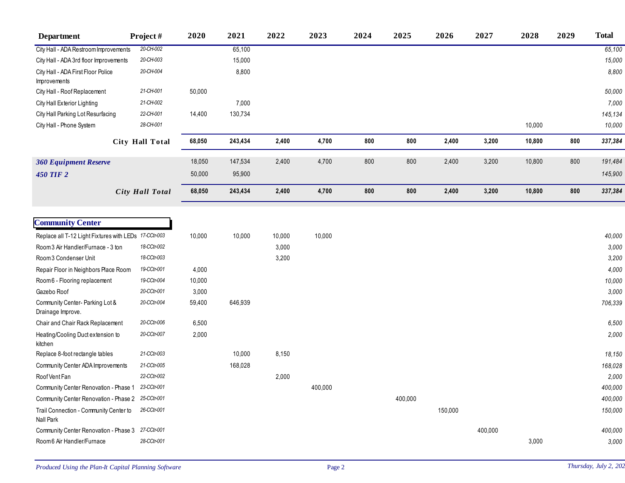| <b>Department</b>                                     | Project#        | 2020   | 2021    | 2022   | 2023    | 2024 | 2025    | 2026    | 2027    | 2028   | 2029 | <b>Total</b> |
|-------------------------------------------------------|-----------------|--------|---------|--------|---------|------|---------|---------|---------|--------|------|--------------|
| City Hall - ADA Restroom Improvements                 | 20-CH-002       |        | 65,100  |        |         |      |         |         |         |        |      | 65,100       |
| City Hall - ADA 3rd floor Improvements                | 20-CH-003       |        | 15,000  |        |         |      |         |         |         |        |      | 15,000       |
| City Hall - ADA First Floor Police                    | 20-CH-004       |        | 8,800   |        |         |      |         |         |         |        |      | 8,800        |
| Improvements                                          |                 |        |         |        |         |      |         |         |         |        |      |              |
| City Hall - Roof Replacement                          | 21-CH-001       | 50,000 |         |        |         |      |         |         |         |        |      | 50,000       |
| City Hall Exterior Lighting                           | 21-CH-002       |        | 7,000   |        |         |      |         |         |         |        |      | 7,000        |
| City Hall Parking Lot Resurfacing                     | 22-CH-001       | 14,400 | 130,734 |        |         |      |         |         |         |        |      | 145,134      |
| City Hall - Phone System                              | 28-CH-001       |        |         |        |         |      |         |         |         | 10,000 |      | 10,000       |
|                                                       | City Hall Total | 68,050 | 243,434 | 2,400  | 4,700   | 800  | 800     | 2,400   | 3,200   | 10,800 | 800  | 337,384      |
| <b>360 Equipment Reserve</b>                          |                 | 18,050 | 147,534 | 2,400  | 4,700   | 800  | 800     | 2,400   | 3,200   | 10,800 | 800  | 191,484      |
| <b>450 TIF 2</b>                                      |                 | 50,000 | 95,900  |        |         |      |         |         |         |        |      | 145,900      |
|                                                       | City Hall Total | 68,050 | 243,434 | 2,400  | 4,700   | 800  | 800     | 2,400   | 3,200   | 10,800 | 800  | 337,384      |
|                                                       |                 |        |         |        |         |      |         |         |         |        |      |              |
| <b>Community Center</b>                               |                 |        |         |        |         |      |         |         |         |        |      |              |
|                                                       |                 |        |         |        |         |      |         |         |         |        |      |              |
| Replace all T-12 Light Fixtures with LEDs 17-CCtr-003 |                 | 10,000 | 10,000  | 10,000 | 10,000  |      |         |         |         |        |      | 40,000       |
| Room 3 Air Handler/Furnace - 3 ton                    | 18-CCtr-002     |        |         | 3,000  |         |      |         |         |         |        |      | 3,000        |
| Room 3 Condenser Unit                                 | 18-CCtr-003     |        |         | 3,200  |         |      |         |         |         |        |      | 3,200        |
| Repair Floor in Neighbors Place Room                  | 19-CCtr-001     | 4,000  |         |        |         |      |         |         |         |        |      | 4,000        |
| Room6 - Flooring replacement                          | 19-CCtr-004     | 10,000 |         |        |         |      |         |         |         |        |      | 10,000       |
| Gazebo Roof                                           | 20-CCtr-001     | 3,000  |         |        |         |      |         |         |         |        |      | 3,000        |
| Community Center-Parking Lot &<br>Drainage Improve.   | 20-CCtr-004     | 59,400 | 646,939 |        |         |      |         |         |         |        |      | 706,339      |
| Chair and Chair Rack Replacement                      | 20-CCtr-006     | 6,500  |         |        |         |      |         |         |         |        |      | 6,500        |
| Heating/Cooling Duct extension to<br>kitchen          | 20-CCtr-007     | 2,000  |         |        |         |      |         |         |         |        |      | 2,000        |
| Replace 8-foot rectangle tables                       | 21-CCtr-003     |        | 10,000  | 8,150  |         |      |         |         |         |        |      | 18,150       |
| Community Center ADA Improvements                     | 21-CCtr-005     |        | 168,028 |        |         |      |         |         |         |        |      | 168,028      |
| Roof Vent Fan                                         | 22-CCtr-002     |        |         | 2,000  |         |      |         |         |         |        |      | 2,000        |
| Community Center Renovation - Phase 1 23-CCtr-001     |                 |        |         |        | 400,000 |      |         |         |         |        |      | 400,000      |
| Community Center Renovation - Phase 2 25-CCtr-001     |                 |        |         |        |         |      | 400,000 |         |         |        |      | 400,000      |
| Trail Connection - Community Center to<br>Nall Park   | 26-CCtr-001     |        |         |        |         |      |         | 150,000 |         |        |      | 150,000      |
| Community Center Renovation - Phase 3 27-CCtr-001     |                 |        |         |        |         |      |         |         | 400,000 |        |      | 400,000      |
| Room 6 Air Handler/Furnace                            | 28-CCtr-001     |        |         |        |         |      |         |         |         | 3,000  |      | 3,000        |
|                                                       |                 |        |         |        |         |      |         |         |         |        |      |              |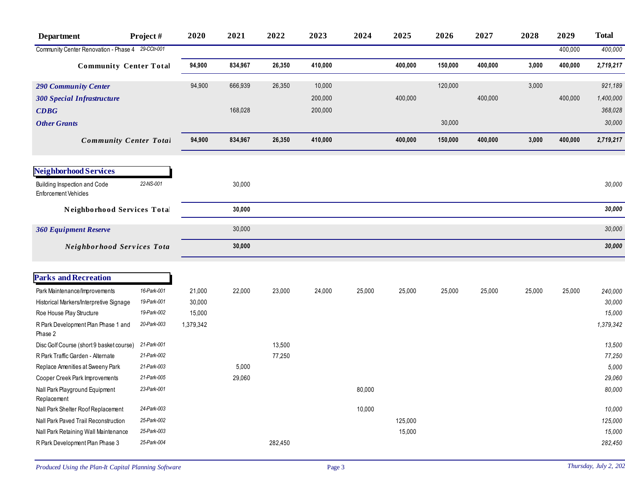| <b>Department</b>                                           | Project#    | 2020      | 2021    | 2022    | 2023    | 2024   | 2025    | 2026    | 2027    | 2028   | 2029    | <b>Total</b> |
|-------------------------------------------------------------|-------------|-----------|---------|---------|---------|--------|---------|---------|---------|--------|---------|--------------|
| Community Center Renovation - Phase 4 29-CCtr-001           |             |           |         |         |         |        |         |         |         |        | 400,000 | 400,000      |
| <b>Community Center Total</b>                               |             | 94,900    | 834,967 | 26,350  | 410,000 |        | 400,000 | 150,000 | 400,000 | 3,000  | 400,000 | 2,719,217    |
| <b>290 Community Center</b>                                 |             | 94,900    | 666,939 | 26,350  | 10,000  |        |         | 120,000 |         | 3,000  |         | 921,189      |
| <b>300 Special Infrastructure</b>                           |             |           |         |         | 200,000 |        | 400,000 |         | 400,000 |        | 400,000 | 1,400,000    |
| CDBG                                                        |             |           | 168,028 |         | 200,000 |        |         |         |         |        |         | 368,028      |
| <b>Other Grants</b>                                         |             |           |         |         |         |        |         | 30,000  |         |        |         | 30,000       |
| <b>Community Center Total</b>                               |             | 94,900    | 834,967 | 26,350  | 410,000 |        | 400,000 | 150,000 | 400,000 | 3,000  | 400,000 | 2,719,217    |
| <b>Neighborhood Services</b>                                |             |           |         |         |         |        |         |         |         |        |         |              |
| Building Inspection and Code<br><b>Enforcement Vehicles</b> | 22-NS-001   |           | 30,000  |         |         |        |         |         |         |        |         | 30,000       |
| Neighborhood Services Total                                 |             |           | 30,000  |         |         |        |         |         |         |        |         | 30,000       |
| <b>360 Equipment Reserve</b>                                |             |           | 30,000  |         |         |        |         |         |         |        |         | 30,000       |
| Neighborhood Services Tota                                  |             |           | 30,000  |         |         |        |         |         |         |        |         | 30,000       |
| <b>Parks and Recreation</b>                                 |             |           |         |         |         |        |         |         |         |        |         |              |
| Park Maintenance/Improvements                               | 16-Park-001 | 21,000    | 22,000  | 23,000  | 24,000  | 25,000 | 25,000  | 25,000  | 25,000  | 25,000 | 25,000  | 240,000      |
| Historical Markers/Interpretive Signage                     | 19-Park-001 | 30,000    |         |         |         |        |         |         |         |        |         | 30,000       |
| Roe House Play Structure                                    | 19-Park-002 | 15,000    |         |         |         |        |         |         |         |        |         | 15,000       |
| R Park Development Plan Phase 1 and<br>Phase 2              | 20-Park-003 | 1,379,342 |         |         |         |        |         |         |         |        |         | 1,379,342    |
| Disc Golf Course (short 9 basket course)                    | 21-Park-001 |           |         | 13,500  |         |        |         |         |         |        |         | 13,500       |
| R Park Traffic Garden - Alternate                           | 21-Park-002 |           |         | 77,250  |         |        |         |         |         |        |         | 77,250       |
| Replace Amenities at Sweeny Park                            | 21-Park-003 |           | 5,000   |         |         |        |         |         |         |        |         | 5,000        |
| Cooper Creek Park Improvements                              | 21-Park-005 |           | 29,060  |         |         |        |         |         |         |        |         | 29,060       |
| Nall Park Playground Equipment<br>Replacement               | 23-Park-001 |           |         |         |         | 80,000 |         |         |         |        |         | 80,000       |
| Nall Park Shelter Roof Replacement                          | 24-Park-003 |           |         |         |         | 10,000 |         |         |         |        |         | 10,000       |
| Nall Park Paved Trail Reconstruction                        | 25-Park-002 |           |         |         |         |        | 125,000 |         |         |        |         | 125,000      |
| Nall Park Retaining Wall Maintenance                        | 25-Park-003 |           |         |         |         |        | 15,000  |         |         |        |         | 15,000       |
| R Park Development Plan Phase 3                             | 25-Park-004 |           |         | 282,450 |         |        |         |         |         |        |         | 282,450      |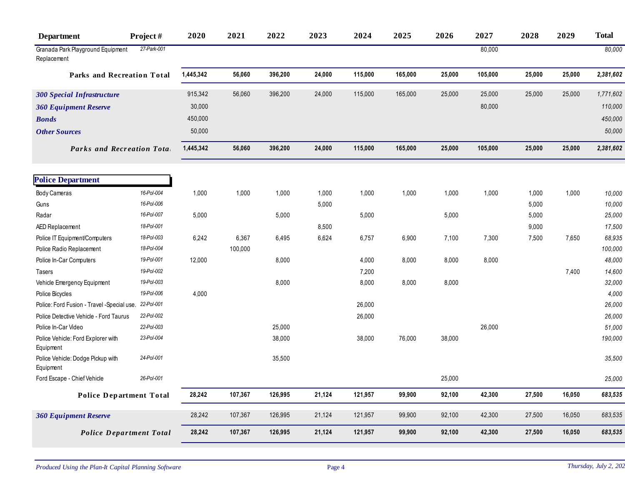| <b>Department</b>                                | Project#                 | 2020      | 2021    | 2022    | 2023   | 2024    | 2025    | 2026   | 2027    | 2028           | 2029   | <b>Total</b>     |
|--------------------------------------------------|--------------------------|-----------|---------|---------|--------|---------|---------|--------|---------|----------------|--------|------------------|
| Granada Park Playground Equipment<br>Replacement | 27-Park-001              |           |         |         |        |         |         |        | 80,000  |                |        | 80,000           |
| Parks and Recreation Total                       |                          | 1,445,342 | 56,060  | 396,200 | 24,000 | 115,000 | 165,000 | 25,000 | 105,000 | 25,000         | 25,000 | 2,381,602        |
| <b>300 Special Infrastructure</b>                |                          | 915,342   | 56,060  | 396,200 | 24,000 | 115,000 | 165,000 | 25,000 | 25,000  | 25,000         | 25,000 | 1,771,602        |
| <b>360 Equipment Reserve</b>                     |                          | 30,000    |         |         |        |         |         |        | 80,000  |                |        | 110,000          |
| <b>Bonds</b>                                     |                          | 450,000   |         |         |        |         |         |        |         |                |        | 450,000          |
| <b>Other Sources</b>                             |                          | 50,000    |         |         |        |         |         |        |         |                |        | 50,000           |
| <b>Parks and Recreation Total</b>                |                          | 1,445,342 | 56,060  | 396,200 | 24,000 | 115,000 | 165,000 | 25,000 | 105,000 | 25,000         | 25,000 | 2,381,602        |
|                                                  |                          |           |         |         |        |         |         |        |         |                |        |                  |
| <b>Police Department</b>                         |                          |           |         |         |        |         |         |        |         |                |        |                  |
| Body Cameras                                     | 16-Pol-004<br>16-Pol-006 | 1,000     | 1,000   | 1,000   | 1,000  | 1,000   | 1,000   | 1,000  | 1,000   | 1,000          | 1,000  | 10,000           |
| Guns<br>Radar                                    | 16-Pol-007               | 5,000     |         | 5,000   | 5,000  | 5,000   |         | 5,000  |         | 5,000<br>5,000 |        | 10,000<br>25,000 |
| AED Replacement                                  | 18-Pol-001               |           |         |         | 8,500  |         |         |        |         | 9,000          |        | 17,500           |
| Police IT Equipment/Computers                    | 18-Pol-003               | 6,242     | 6,367   | 6,495   | 6,624  | 6,757   | 6,900   | 7,100  | 7,300   | 7,500          | 7,650  | 68,935           |
| Police Radio Replacement                         | 18-Pol-004               |           | 100,000 |         |        |         |         |        |         |                |        | 100,000          |
| Police In-Car Computers                          | 19-Pol-001               | 12,000    |         | 8,000   |        | 4,000   | 8,000   | 8,000  | 8,000   |                |        | 48,000           |
| <b>Tasers</b>                                    | 19-Pol-002               |           |         |         |        | 7,200   |         |        |         |                | 7,400  | 14,600           |
| Vehicle Emergency Equipment                      | 19-Pol-003               |           |         | 8,000   |        | 8,000   | 8,000   | 8,000  |         |                |        | 32,000           |
| Police Bicycles                                  | 19-Pol-006               | 4,000     |         |         |        |         |         |        |         |                |        | 4,000            |
| Police: Ford Fusion - Travel - Special use.      | 22-Pol-001               |           |         |         |        | 26,000  |         |        |         |                |        | 26,000           |
| Police Detective Vehicle - Ford Taurus           | 22-Pol-002               |           |         |         |        | 26,000  |         |        |         |                |        | 26,000           |
| Police In-Car Video                              | 22-Pol-003               |           |         | 25,000  |        |         |         |        | 26,000  |                |        | 51,000           |
| Police Vehicle: Ford Explorer with<br>Equipment  | 23-Pol-004               |           |         | 38,000  |        | 38,000  | 76,000  | 38,000 |         |                |        | 190,000          |
| Police Vehicle: Dodge Pickup with<br>Equipment   | 24-Pol-001               |           |         | 35,500  |        |         |         |        |         |                |        | 35,500           |
| Ford Escape - Chief Vehicle                      | 26-Pol-001               |           |         |         |        |         |         | 25,000 |         |                |        | 25,000           |
| <b>Police Department Total</b>                   |                          | 28,242    | 107,367 | 126,995 | 21,124 | 121,957 | 99,900  | 92,100 | 42,300  | 27,500         | 16,050 | 683,535          |
| <b>360 Equipment Reserve</b>                     |                          | 28,242    | 107,367 | 126,995 | 21,124 | 121,957 | 99,900  | 92,100 | 42,300  | 27,500         | 16,050 | 683,535          |
| <b>Police Department Total</b>                   |                          | 28,242    | 107,367 | 126,995 | 21,124 | 121,957 | 99,900  | 92,100 | 42,300  | 27,500         | 16,050 | 683,535          |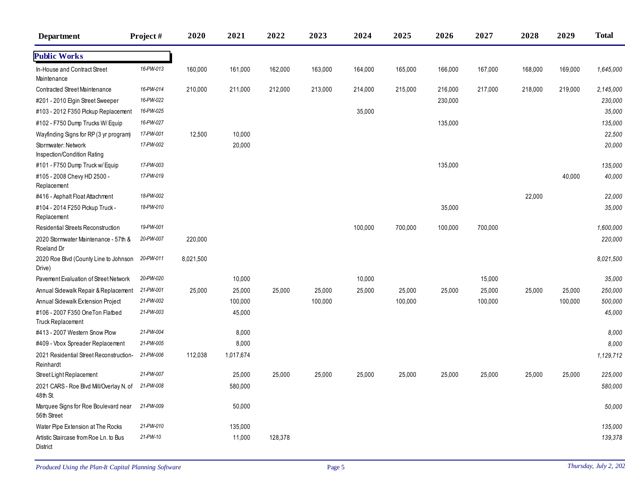| <b>Department</b>                                           | Project#  | 2020      | 2021      | 2022    | 2023    | 2024    | 2025    | 2026    | 2027    | 2028    | 2029    | <b>Total</b> |
|-------------------------------------------------------------|-----------|-----------|-----------|---------|---------|---------|---------|---------|---------|---------|---------|--------------|
| <b>Public Works</b>                                         |           |           |           |         |         |         |         |         |         |         |         |              |
| In-House and Contract Street<br>Maintenance                 | 16-PW-013 | 160,000   | 161,000   | 162,000 | 163,000 | 164,000 | 165,000 | 166,000 | 167,000 | 168,000 | 169,000 | 1,645,000    |
| Contracted Street Maintenance                               | 16-PW-014 | 210,000   | 211,000   | 212,000 | 213,000 | 214,000 | 215,000 | 216,000 | 217,000 | 218,000 | 219,000 | 2,145,000    |
| #201 - 2010 Elgin Street Sweeper                            | 16-PW-022 |           |           |         |         |         |         | 230,000 |         |         |         | 230,000      |
| #103 - 2012 F350 Pickup Replacement                         | 16-PW-025 |           |           |         |         | 35,000  |         |         |         |         |         | 35,000       |
| #102 - F750 Dump Trucks W/Equip                             | 16-PW-027 |           |           |         |         |         |         | 135,000 |         |         |         | 135,000      |
| Wayfinding Signs for RP (3 yr program)                      | 17-PW-001 | 12,500    | 10,000    |         |         |         |         |         |         |         |         | 22,500       |
| Stormwater: Network<br>Inspection/Condition Rating          | 17-PW-002 |           | 20,000    |         |         |         |         |         |         |         |         | 20,000       |
| #101 - F750 Dump Truck w/ Equip                             | 17-PW-003 |           |           |         |         |         |         | 135,000 |         |         |         | 135,000      |
| #105 - 2008 Chevy HD 2500 -<br>Replacement                  | 17-PW-019 |           |           |         |         |         |         |         |         |         | 40,000  | 40,000       |
| #416 - Asphalt Float Attachment                             | 18-PW-002 |           |           |         |         |         |         |         |         | 22,000  |         | 22,000       |
| #104 - 2014 F250 Pickup Truck -<br>Replacement              | 18-PW-010 |           |           |         |         |         |         | 35,000  |         |         |         | 35,000       |
| Residential Streets Reconstruction                          | 19-PW-001 |           |           |         |         | 100,000 | 700,000 | 100,000 | 700,000 |         |         | 1,600,000    |
| 2020 Stormwater Maintenance - 57th &<br>Roeland Dr          | 20-PW-007 | 220,000   |           |         |         |         |         |         |         |         |         | 220,000      |
| 2020 Roe Blvd (County Line to Johnson<br>Drive)             | 20-PW-011 | 8,021,500 |           |         |         |         |         |         |         |         |         | 8,021,500    |
| Pavement Evaluation of Street Network                       | 20-PW-020 |           | 10,000    |         |         | 10,000  |         |         | 15,000  |         |         | 35,000       |
| Annual Sidewalk Repair & Replacement                        | 21-PW-001 | 25,000    | 25,000    | 25,000  | 25,000  | 25,000  | 25,000  | 25,000  | 25,000  | 25,000  | 25,000  | 250,000      |
| Annual Sidewalk Extension Project                           | 21-PW-002 |           | 100,000   |         | 100,000 |         | 100,000 |         | 100,000 |         | 100,000 | 500,000      |
| #106 - 2007 F350 OneTon Flatbed<br><b>Truck Replacement</b> | 21-PW-003 |           | 45,000    |         |         |         |         |         |         |         |         | 45,000       |
| #413 - 2007 Western Snow Plow                               | 21-PW-004 |           | 8,000     |         |         |         |         |         |         |         |         | 8,000        |
| #409 - Vbox Spreader Replacement                            | 21-PW-005 |           | 8,000     |         |         |         |         |         |         |         |         | 8,000        |
| 2021 Residential Street Reconstruction-<br>Reinhardt        | 21-PW-006 | 112,038   | 1,017,674 |         |         |         |         |         |         |         |         | 1,129,712    |
| Street Light Replacement                                    | 21-PW-007 |           | 25,000    | 25,000  | 25,000  | 25,000  | 25,000  | 25,000  | 25,000  | 25,000  | 25,000  | 225,000      |
| 2021 CARS - Roe Blvd Mil/Overlay N. of<br>48th St.          | 21-PW-008 |           | 580,000   |         |         |         |         |         |         |         |         | 580,000      |
| Marquee Signs for Roe Boulevard near<br>56th Street         | 21-PW-009 |           | 50,000    |         |         |         |         |         |         |         |         | 50,000       |
| Water Pipe Extension at The Rocks                           | 21-PW-010 |           | 135,000   |         |         |         |         |         |         |         |         | 135,000      |
| Artistic Staircase from Roe Ln. to Bus<br>District          | 21-PW-10  |           | 11,000    | 128,378 |         |         |         |         |         |         |         | 139,378      |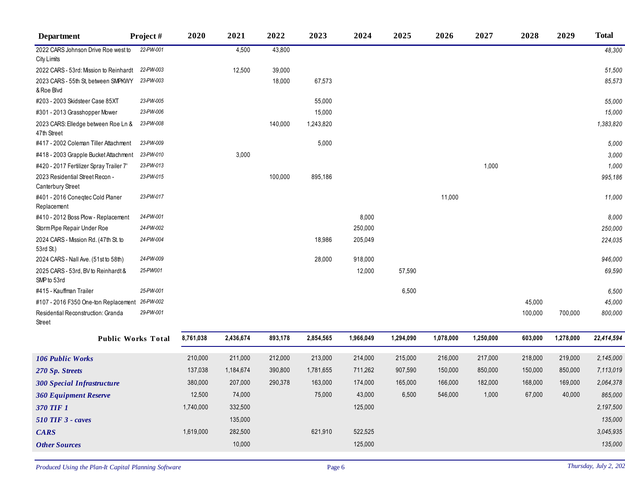| <b>Department</b>                                         | Project#                  | 2020      | 2021      | 2022    | 2023      | 2024      | 2025      | 2026      | 2027      | 2028    | 2029      | <b>Total</b> |
|-----------------------------------------------------------|---------------------------|-----------|-----------|---------|-----------|-----------|-----------|-----------|-----------|---------|-----------|--------------|
| 2022 CARS Johnson Drive Roe west to<br><b>City Limits</b> | 22-PW-001                 |           | 4,500     | 43,800  |           |           |           |           |           |         |           | 48,300       |
| 2022 CARS - 53rd: Mission to Reinhardt                    | 22-PW-003                 |           | 12,500    | 39,000  |           |           |           |           |           |         |           | 51,500       |
| 2023 CARS - 55th St, between SMPKWY<br>& Roe Blvd         | 23-PW-003                 |           |           | 18,000  | 67,573    |           |           |           |           |         |           | 85,573       |
| #203 - 2003 Skidsteer Case 85XT                           | 23-PW-005                 |           |           |         | 55,000    |           |           |           |           |         |           | 55,000       |
| #301 - 2013 Grasshopper Mower                             | 23-PW-006                 |           |           |         | 15,000    |           |           |           |           |         |           | 15,000       |
| 2023 CARS: Elledge between Roe Ln &<br>47th Street        | 23-PW-008                 |           |           | 140,000 | 1,243,820 |           |           |           |           |         |           | 1,383,820    |
| #417 - 2002 Coleman Tiller Attachment                     | 23-PW-009                 |           |           |         | 5,000     |           |           |           |           |         |           | 5,000        |
| #418 - 2003 Grapple Bucket Attachment                     | 23-PW-010                 |           | 3,000     |         |           |           |           |           |           |         |           | 3,000        |
| #420 - 2017 Fertilizer Spray Trailer 7'                   | 23-PW-013                 |           |           |         |           |           |           |           | 1,000     |         |           | 1,000        |
| 2023 Residential Street Recon -<br>Canterbury Street      | 23-PW-015                 |           |           | 100,000 | 895,186   |           |           |           |           |         |           | 995,186      |
| #401 - 2016 Conegtec Cold Planer<br>Replacement           | 23-PW-017                 |           |           |         |           |           |           | 11,000    |           |         |           | 11,000       |
| #410 - 2012 Boss Plow - Replacement                       | 24-PW-001                 |           |           |         |           | 8,000     |           |           |           |         |           | 8,000        |
| Storm Pipe Repair Under Roe                               | 24-PW-002                 |           |           |         |           | 250,000   |           |           |           |         |           | 250,000      |
| 2024 CARS - Mission Rd. (47th St. to<br>53rd St.)         | 24-PW-004                 |           |           |         | 18,986    | 205,049   |           |           |           |         |           | 224,035      |
| 2024 CARS - Nall Ave. (51st to 58th)                      | 24-PW-009                 |           |           |         | 28,000    | 918,000   |           |           |           |         |           | 946,000      |
| 2025 CARS - 53rd, BV to Reinhardt &<br>SMP to 53rd        | 25-PW001                  |           |           |         |           | 12,000    | 57,590    |           |           |         |           | 69,590       |
| #415 - Kauffman Trailer                                   | 25-PW-001                 |           |           |         |           |           | 6,500     |           |           |         |           | 6,500        |
| #107 - 2016 F350 One-ton Replacement                      | 26-PW-002                 |           |           |         |           |           |           |           |           | 45,000  |           | 45,000       |
| Residential Reconstruction: Granda<br>Street              | 29-PW-001                 |           |           |         |           |           |           |           |           | 100,000 | 700,000   | 800,000      |
|                                                           | <b>Public Works Total</b> | 8.761.038 | 2.436.674 | 893.178 | 2.854.565 | 1.966.049 | 1.294.090 | 1.078.000 | 1.250.000 | 603.000 | 1.278.000 | 22.414.594   |

| <b>Public Works Total</b>         | 8,761,038 | 2.436.674 | 893,178 | 2,854,565 | 1,966,049 | 1,294,090 | 1.078.000 | 1.250.000 | 603,000 | 1.278.000 | 22,414,594 |
|-----------------------------------|-----------|-----------|---------|-----------|-----------|-----------|-----------|-----------|---------|-----------|------------|
| <b>106 Public Works</b>           | 210,000   | 211,000   | 212,000 | 213,000   | 214,000   | 215,000   | 216,000   | 217,000   | 218,000 | 219,000   | 2,145,000  |
| 270 Sp. Streets                   | 137,038   | 1,184,674 | 390,800 | 1,781,655 | 711,262   | 907,590   | 150,000   | 850,000   | 150,000 | 850,000   | 7,113,019  |
| <b>300 Special Infrastructure</b> | 380,000   | 207,000   | 290,378 | 163,000   | 174,000   | 165,000   | 166,000   | 182,000   | 168,000 | 169,000   | 2,064,378  |
| <b>360 Equipment Reserve</b>      | 12,500    | 74,000    |         | 75,000    | 43,000    | 6,500     | 546,000   | 1,000     | 67,000  | 40,000    | 865,000    |
| 370 TIF 1                         | 1.740.000 | 332,500   |         |           | 125,000   |           |           |           |         |           | 2,197,500  |
| $510$ TIF 3 - caves               |           | 135,000   |         |           |           |           |           |           |         |           | 135,000    |
| <b>CARS</b>                       | 1,619,000 | 282,500   |         | 621,910   | 522,525   |           |           |           |         |           | 3,045,935  |
| <b>Other Sources</b>              |           | 10,000    |         |           | 125,000   |           |           |           |         |           | 135,000    |
|                                   |           |           |         |           |           |           |           |           |         |           |            |